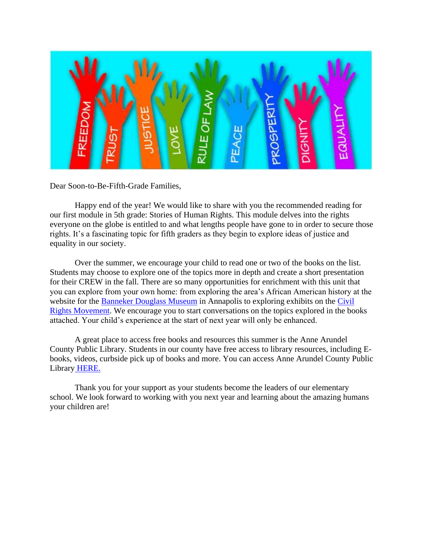

Dear Soon-to-Be-Fifth-Grade Families,

Happy end of the year! We would like to share with you the recommended reading for our first module in 5th grade: Stories of Human Rights. This module delves into the rights everyone on the globe is entitled to and what lengths people have gone to in order to secure those rights. It's a fascinating topic for fifth graders as they begin to explore ideas of justice and equality in our society.

Over the summer, we encourage your child to read one or two of the books on the list. Students may choose to explore one of the topics more in depth and create a short presentation for their CREW in the fall. There are so many opportunities for enrichment with this unit that you can explore from your own home: from exploring the area's African American history at the website for the [Banneker Douglass Museum](https://bdmuseum.maryland.gov/library/) in Annapolis to exploring exhibits on the [Civil](https://nmaahc.si.edu/explore/collection/search?edan_q=%2A%3A%2A&edan_fq%5B%5D=topic%3A%22Civil%20rights%22&edan_local=1&op=Search)  [Rights Movement.](https://nmaahc.si.edu/explore/collection/search?edan_q=%2A%3A%2A&edan_fq%5B%5D=topic%3A%22Civil%20rights%22&edan_local=1&op=Search) We encourage you to start conversations on the topics explored in the books attached. Your child's experience at the start of next year will only be enhanced.

A great place to access free books and resources this summer is the Anne Arundel County Public Library. Students in our county have free access to library resources, including Ebooks, videos, curbside pick up of books and more. You can access Anne Arundel County Public Library [HERE.](https://www.aacpl.net/get-a-library-card) 

Thank you for your support as your students become the leaders of our elementary school. We look forward to working with you next year and learning about the amazing humans your children are!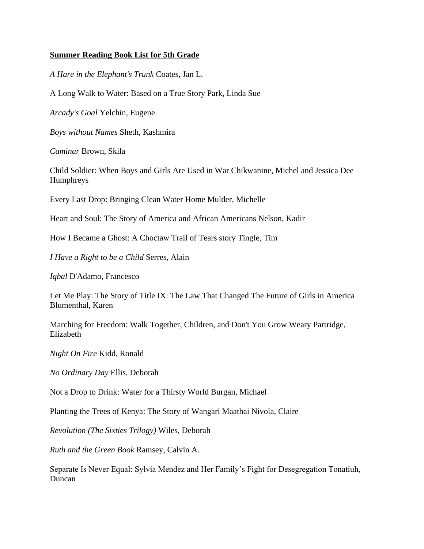## **Summer Reading Book List for 5th Grade**

*A Hare in the Elephant's Trunk* Coates, Jan L.

A Long Walk to Water: Based on a True Story Park, Linda Sue

*Arcady's Goal* Yelchin, Eugene

*Boys without Names* Sheth, Kashmira

*Caminar* Brown, Skila

Child Soldier: When Boys and Girls Are Used in War Chikwanine, Michel and Jessica Dee Humphreys

Every Last Drop: Bringing Clean Water Home Mulder, Michelle

Heart and Soul: The Story of America and African Americans Nelson, Kadir

How I Became a Ghost: A Choctaw Trail of Tears story Tingle, Tim

*I Have a Right to be a Child* Serres, Alain

*Iqbal* D'Adamo, Francesco

Let Me Play: The Story of Title IX: The Law That Changed The Future of Girls in America Blumenthal, Karen

Marching for Freedom: Walk Together, Children, and Don't You Grow Weary Partridge, Elizabeth

*Night On Fire* Kidd, Ronald

*No Ordinary Day* Ellis, Deborah

Not a Drop to Drink: Water for a Thirsty World Burgan, Michael

Planting the Trees of Kenya: The Story of Wangari Maathai Nivola, Claire

*Revolution (The Sixties Trilogy)* Wiles, Deborah

*Ruth and the Green Book* Ramsey, Calvin A.

Separate Is Never Equal: Sylvia Mendez and Her Family's Fight for Desegregation Tonatiuh, Duncan